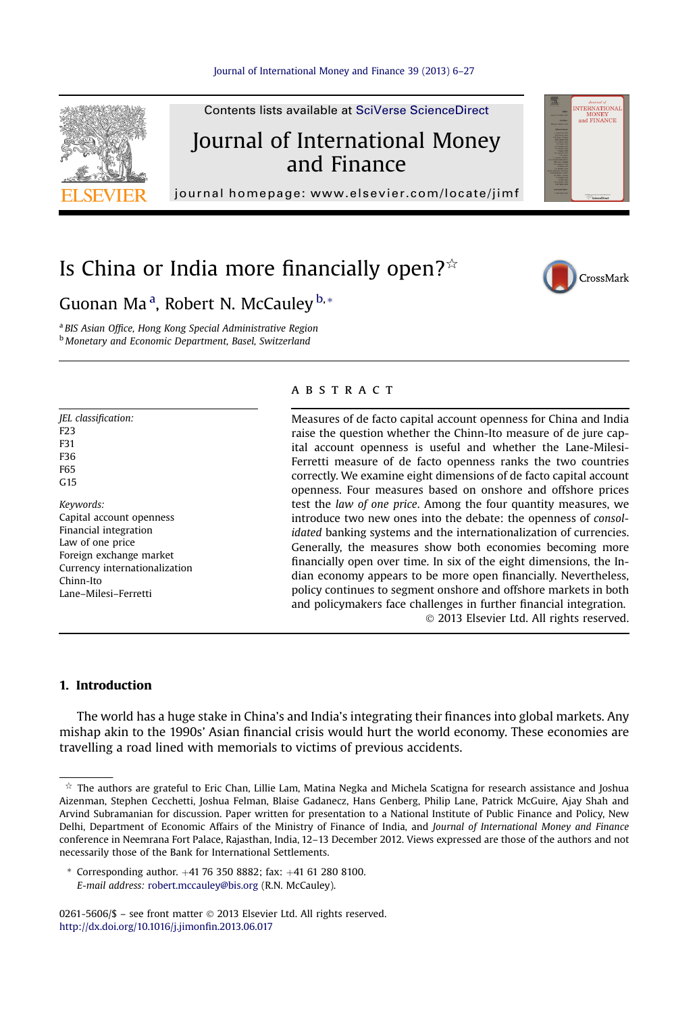

Is China or India more financially open? $\dot{\mathbb{R}}$ 



**TERNATIONAL** MUNET<br>and FINANCE

Guonan Ma<sup>a</sup>, Robert N. McCauley <sup>b,</sup>\*

a BIS Asian Office, Hong Kong Special Administrative Region **b** Monetary and Economic Department, Basel, Switzerland

F23 F31 F36 F65  $C15$ Keywords: Capital account openness Financial integration Law of one price Foreign exchange market Currency internationalization Chinn-Ito Lane–Milesi–Ferretti

JEL classification:

## **ABSTRACT**

Measures of de facto capital account openness for China and India raise the question whether the Chinn-Ito measure of de jure capital account openness is useful and whether the Lane-Milesi-Ferretti measure of de facto openness ranks the two countries correctly. We examine eight dimensions of de facto capital account openness. Four measures based on onshore and offshore prices test the law of one price. Among the four quantity measures, we introduce two new ones into the debate: the openness of consolidated banking systems and the internationalization of currencies. Generally, the measures show both economies becoming more financially open over time. In six of the eight dimensions, the Indian economy appears to be more open financially. Nevertheless, policy continues to segment onshore and offshore markets in both and policymakers face challenges in further financial integration. 2013 Elsevier Ltd. All rights reserved.

## 1. Introduction

The world has a huge stake in China's and India's integrating their finances into global markets. Any mishap akin to the 1990s' Asian financial crisis would hurt the world economy. These economies are travelling a road lined with memorials to victims of previous accidents.

\* Corresponding author.  $+41$  76 350 8882; fax:  $+41$  61 280 8100. E-mail address: [robert.mccauley@bis.org](mailto:robert.mccauley@bis.org) (R.N. McCauley).

0261-5606/\$ - see front matter © 2013 Elsevier Ltd. All rights reserved. [http://dx.doi.org/10.1016/j.jimon](http://dx.doi.org/10.1016/j.jimonfin.2013.06.017)fin.2013.06.017

 $\dot{\varphi}$  The authors are grateful to Eric Chan, Lillie Lam, Matina Negka and Michela Scatigna for research assistance and Joshua Aizenman, Stephen Cecchetti, Joshua Felman, Blaise Gadanecz, Hans Genberg, Philip Lane, Patrick McGuire, Ajay Shah and Arvind Subramanian for discussion. Paper written for presentation to a National Institute of Public Finance and Policy, New Delhi, Department of Economic Affairs of the Ministry of Finance of India, and Journal of International Money and Finance conference in Neemrana Fort Palace, Rajasthan, India, 12–13 December 2012. Views expressed are those of the authors and not necessarily those of the Bank for International Settlements.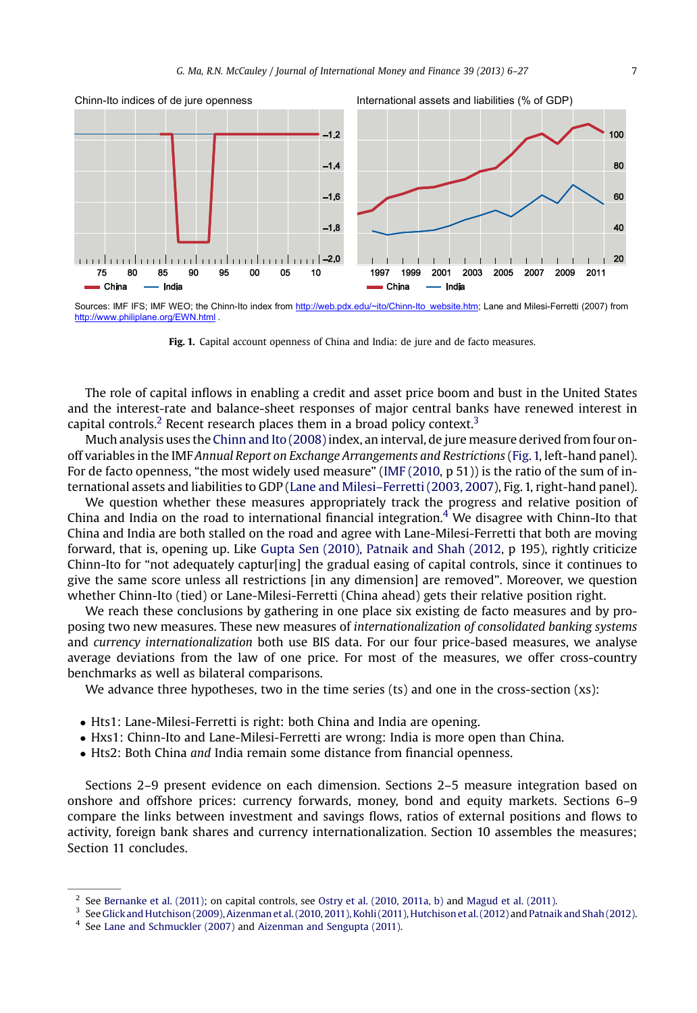

Sources: IMF IFS; IMF WEO; the Chinn-Ito index from [http://web.pdx.edu/~ito/Chinn-Ito\\_website.htm;](http://web.pdx.edu/~ito/Chinn-Ito_website.htm) Lane and Milesi-Ferretti (2007) from <http://www.philiplane.org/EWN.html> .

Fig. 1. Capital account openness of China and India: de jure and de facto measures.

The role of capital inflows in enabling a credit and asset price boom and bust in the United States and the interest-rate and balance-sheet responses of major central banks have renewed interest in capital controls.<sup>2</sup> Recent research places them in a broad policy context.<sup>3</sup>

Much analysis uses the [Chinn and Ito \(2008\)](#page--1-0)index, an interval, de jure measure derived from four onoff variables in the IMF Annual Report on Exchange Arrangements and Restrictions (Fig. 1, left-hand panel). For de facto openness, "the most widely used measure" ([IMF \(2010](#page--1-0), p 51)) is the ratio of the sum of international assets and liabilities to GDP (Lane and Milesi–[Ferretti \(2003, 2007\)](#page--1-0), Fig. 1, right-hand panel).

We question whether these measures appropriately track the progress and relative position of China and India on the road to international financial integration.<sup>4</sup> We disagree with Chinn-Ito that China and India are both stalled on the road and agree with Lane-Milesi-Ferretti that both are moving forward, that is, opening up. Like [Gupta Sen \(2010\), Patnaik and Shah \(2012,](#page--1-0) p 195), rightly criticize Chinn-Ito for "not adequately captur[ing] the gradual easing of capital controls, since it continues to give the same score unless all restrictions [in any dimension] are removed". Moreover, we question whether Chinn-Ito (tied) or Lane-Milesi-Ferretti (China ahead) gets their relative position right.

We reach these conclusions by gathering in one place six existing de facto measures and by proposing two new measures. These new measures of internationalization of consolidated banking systems and currency internationalization both use BIS data. For our four price-based measures, we analyse average deviations from the law of one price. For most of the measures, we offer cross-country benchmarks as well as bilateral comparisons.

We advance three hypotheses, two in the time series (ts) and one in the cross-section (xs):

- Hts1: Lane-Milesi-Ferretti is right: both China and India are opening.
- Hxs1: Chinn-Ito and Lane-Milesi-Ferretti are wrong: India is more open than China.
- Hts2: Both China and India remain some distance from financial openness.

Sections 2–9 present evidence on each dimension. Sections 2–5 measure integration based on onshore and offshore prices: currency forwards, money, bond and equity markets. Sections 6–9 compare the links between investment and savings flows, ratios of external positions and flows to activity, foreign bank shares and currency internationalization. Section 10 assembles the measures; Section 11 concludes.

<sup>2</sup> See [Bernanke et al. \(2011\)](#page--1-0); on capital controls, see [Ostry et al. \(2010, 2011a, b\)](#page--1-0) and [Magud et al. \(2011\).](#page--1-0)

<sup>3</sup> See[Glick and Hutchison \(2009\), Aizenman et al. \(2010, 2011\), Kohli \(2011\), Hutchison et al. \(2012\)](#page--1-0) and [Patnaik and Shah \(2012\)](#page--1-0).

<sup>4</sup> See [Lane and Schmuckler \(2007\)](#page--1-0) and [Aizenman and Sengupta \(2011\).](#page--1-0)